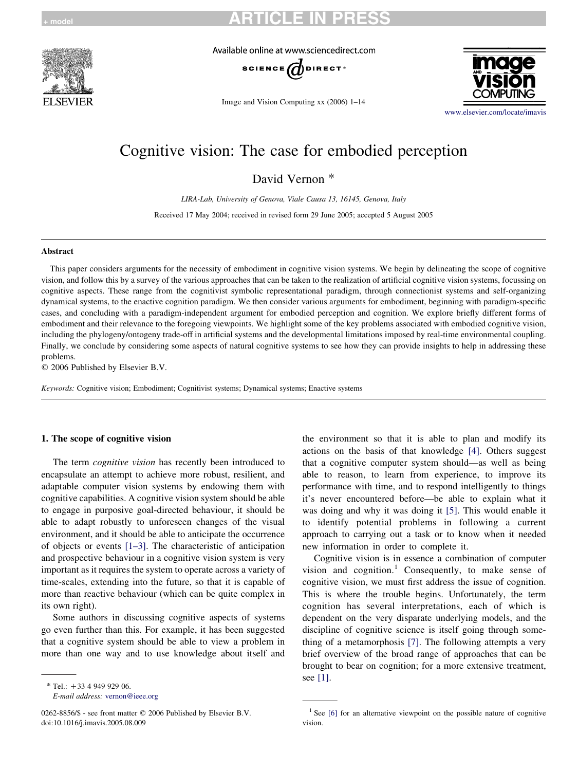# + model ARTICLE IN PRESS

Available online at www.sciencedirect.com



Image and Vision Computing xx (2006) 1–14



[www.elsevier.com/locate/imavis](http://www.elsevier.com/locate/imavis)

# Cognitive vision: The case for embodied perception

David Vernon \*

LIRA-Lab, University of Genova, Viale Causa 13, 16145, Genova, Italy

Received 17 May 2004; received in revised form 29 June 2005; accepted 5 August 2005

#### Abstract

This paper considers arguments for the necessity of embodiment in cognitive vision systems. We begin by delineating the scope of cognitive vision, and follow this by a survey of the various approaches that can be taken to the realization of artificial cognitive vision systems, focussing on cognitive aspects. These range from the cognitivist symbolic representational paradigm, through connectionist systems and self-organizing dynamical systems, to the enactive cognition paradigm. We then consider various arguments for embodiment, beginning with paradigm-specific cases, and concluding with a paradigm-independent argument for embodied perception and cognition. We explore briefly different forms of embodiment and their relevance to the foregoing viewpoints. We highlight some of the key problems associated with embodied cognitive vision, including the phylogeny/ontogeny trade-off in artificial systems and the developmental limitations imposed by real-time environmental coupling. Finally, we conclude by considering some aspects of natural cognitive systems to see how they can provide insights to help in addressing these problems.

 $© 2006$  Published by Elsevier B.V.

Keywords: Cognitive vision; Embodiment; Cognitivist systems; Dynamical systems; Enactive systems

#### 1. The scope of cognitive vision

The term *cognitive vision* has recently been introduced to encapsulate an attempt to achieve more robust, resilient, and adaptable computer vision systems by endowing them with cognitive capabilities. A cognitive vision system should be able to engage in purposive goal-directed behaviour, it should be able to adapt robustly to unforeseen changes of the visual environment, and it should be able to anticipate the occurrence of objects or events [\[1–3\]](#page-11-0). The characteristic of anticipation and prospective behaviour in a cognitive vision system is very important as it requires the system to operate across a variety of time-scales, extending into the future, so that it is capable of more than reactive behaviour (which can be quite complex in its own right).

Some authors in discussing cognitive aspects of systems go even further than this. For example, it has been suggested that a cognitive system should be able to view a problem in more than one way and to use knowledge about itself and

 $*$  Tel.:  $+33$  4 949 929 06.

E-mail address: [vernon@ieee.org](mailto:vernon@ieee.org)

the environment so that it is able to plan and modify its actions on the basis of that knowledge [\[4\]](#page-11-0). Others suggest that a cognitive computer system should—as well as being able to reason, to learn from experience, to improve its performance with time, and to respond intelligently to things it's never encountered before—be able to explain what it was doing and why it was doing it [\[5\]](#page-11-0). This would enable it to identify potential problems in following a current approach to carrying out a task or to know when it needed new information in order to complete it.

Cognitive vision is in essence a combination of computer vision and cognition.<sup>1</sup> Consequently, to make sense of cognitive vision, we must first address the issue of cognition. This is where the trouble begins. Unfortunately, the term cognition has several interpretations, each of which is dependent on the very disparate underlying models, and the discipline of cognitive science is itself going through something of a metamorphosis [\[7\].](#page-11-0) The following attempts a very brief overview of the broad range of approaches that can be brought to bear on cognition; for a more extensive treatment, see [\[1\].](#page-11-0)

<sup>0262-8856/\$ -</sup> see front matter © 2006 Published by Elsevier B.V. doi:10.1016/j.imavis.2005.08.009

<sup>&</sup>lt;sup>1</sup> See [\[6\]](#page-11-0) for an alternative viewpoint on the possible nature of cognitive vision.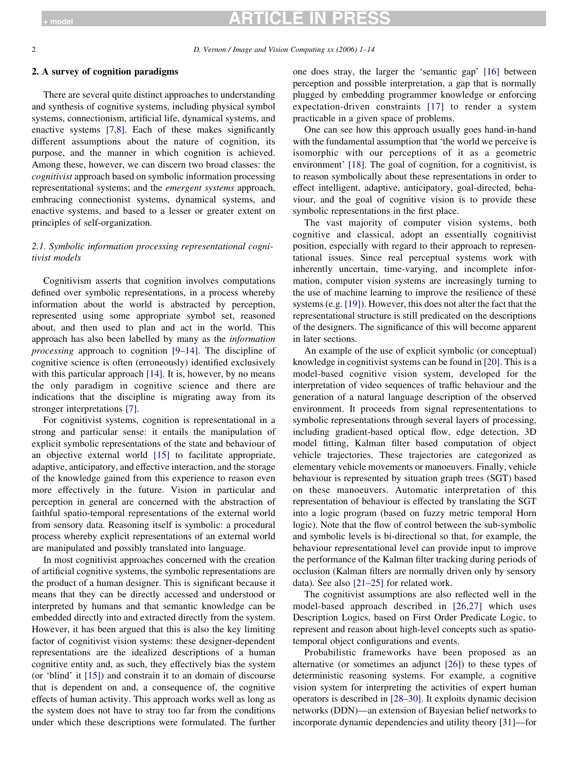# TICLE IN PRE

### 2. A survey of cognition paradigms

There are several quite distinct approaches to understanding and synthesis of cognitive systems, including physical symbol systems, connectionism, artificial life, dynamical systems, and enactive systems [\[7,8\]](#page-11-0). Each of these makes significantly different assumptions about the nature of cognition, its purpose, and the manner in which cognition is achieved. Among these, however, we can discern two broad classes: the cognitivist approach based on symbolic information processing representational systems; and the emergent systems approach, embracing connectionist systems, dynamical systems, and enactive systems, and based to a lesser or greater extent on principles of self-organization.

# 2.1. Symbolic information processing representational cognitivist models

Cognitivism asserts that cognition involves computations defined over symbolic representations, in a process whereby information about the world is abstracted by perception, represented using some appropriate symbol set, reasoned about, and then used to plan and act in the world. This approach has also been labelled by many as the information processing approach to cognition [\[9–14\]](#page-11-0). The discipline of cognitive science is often (erroneously) identified exclusively with this particular approach [\[14\]](#page-11-0). It is, however, by no means the only paradigm in cognitive science and there are indications that the discipline is migrating away from its stronger interpretations [\[7\].](#page-11-0)

For cognitivist systems, cognition is representational in a strong and particular sense: it entails the manipulation of explicit symbolic representations of the state and behaviour of an objective external world [\[15\]](#page-11-0) to facilitate appropriate, adaptive, anticipatory, and effective interaction, and the storage of the knowledge gained from this experience to reason even more effectively in the future. Vision in particular and perception in general are concerned with the abstraction of faithful spatio-temporal representations of the external world from sensory data. Reasoning itself is symbolic: a procedural process whereby explicit representations of an external world are manipulated and possibly translated into language.

In most cognitivist approaches concerned with the creation of artificial cognitive systems, the symbolic representations are the product of a human designer. This is significant because it means that they can be directly accessed and understood or interpreted by humans and that semantic knowledge can be embedded directly into and extracted directly from the system. However, it has been argued that this is also the key limiting factor of cognitivist vision systems: these designer-dependent representations are the idealized descriptions of a human cognitive entity and, as such, they effectively bias the system (or 'blind' it [\[15\]\)](#page-11-0) and constrain it to an domain of discourse that is dependent on and, a consequence of, the cognitive effects of human activity. This approach works well as long as the system does not have to stray too far from the conditions under which these descriptions were formulated. The further one does stray, the larger the 'semantic gap' [\[16\]](#page-11-0) between perception and possible interpretation, a gap that is normally plugged by embedding programmer knowledge or enforcing expectation-driven constraints [\[17\]](#page-11-0) to render a system practicable in a given space of problems.

One can see how this approach usually goes hand-in-hand with the fundamental assumption that 'the world we perceive is isomorphic with our perceptions of it as a geometric environment' [\[18\]](#page-11-0). The goal of cognition, for a cognitivist, is to reason symbolically about these representations in order to effect intelligent, adaptive, anticipatory, goal-directed, behaviour, and the goal of cognitive vision is to provide these symbolic representations in the first place.

The vast majority of computer vision systems, both cognitive and classical, adopt an essentially cognitivist position, especially with regard to their approach to representational issues. Since real perceptual systems work with inherently uncertain, time-varying, and incomplete information, computer vision systems are increasingly turning to the use of machine learning to improve the resilience of these systems (e.g. [\[19\]\)](#page-11-0). However, this does not alter the fact that the representational structure is still predicated on the descriptions of the designers. The significance of this will become apparent in later sections.

An example of the use of explicit symbolic (or conceptual) knowledge in cognitivist systems can be found in [\[20\]](#page-11-0). This is a model-based cognitive vision system, developed for the interpretation of video sequences of traffic behaviour and the generation of a natural language description of the observed environment. It proceeds from signal represententations to symbolic representations through several layers of processing, including gradient-based optical flow, edge detection, 3D model fitting, Kalman filter based computation of object vehicle trajectories. These trajectories are categorized as elementary vehicle movements or manoeuvers. Finally, vehicle behaviour is represented by situation graph trees (SGT) based on these manoeuvers. Automatic interpretation of this representation of behaviour is effected by translating the SGT into a logic program (based on fuzzy metric temporal Horn logic). Note that the flow of control between the sub-symbolic and symbolic levels is bi-directional so that, for example, the behaviour representational level can provide input to improve the performance of the Kalman filter tracking during periods of occlusion (Kalman filters are normally driven only by sensory data). See also [\[21–25\]](#page-11-0) for related work.

The cognitivist assumptions are also reflected well in the model-based approach described in [\[26,27\]](#page-11-0) which uses Description Logics, based on First Order Predicate Logic, to represent and reason about high-level concepts such as spatiotemporal object configurations and events.

Probabilistic frameworks have been proposed as an alternative (or sometimes an adjunct [\[26\]](#page-11-0)) to these types of deterministic reasoning systems. For example, a cognitive vision system for interpreting the activities of expert human operators is described in [\[28–30\].](#page-11-0) It exploits dynamic decision networks (DDN)—an extension of Bayesian belief networks to incorporate dynamic dependencies and utility theory [31]—for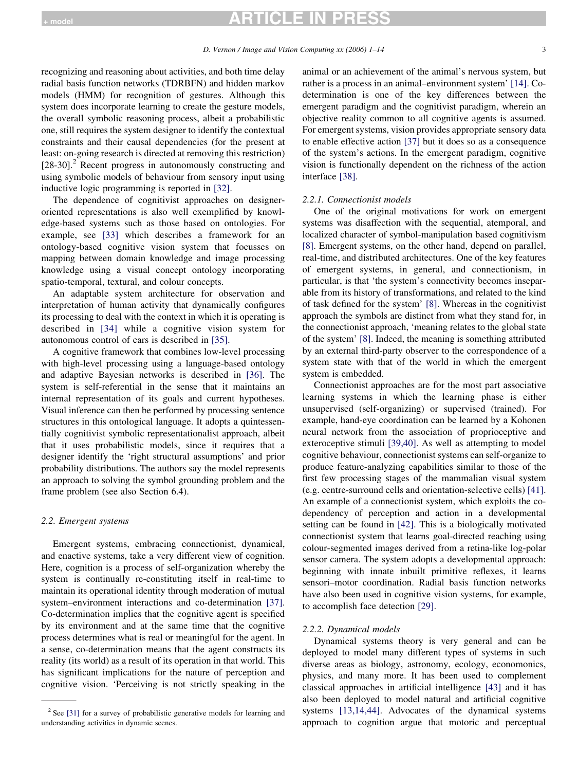# TICLE IN PRE

recognizing and reasoning about activities, and both time delay radial basis function networks (TDRBFN) and hidden markov models (HMM) for recognition of gestures. Although this system does incorporate learning to create the gesture models, the overall symbolic reasoning process, albeit a probabilistic one, still requires the system designer to identify the contextual constraints and their causal dependencies (for the present at least: on-going research is directed at removing this restriction) [28-30]<sup>2</sup> Recent progress in autonomously constructing and using symbolic models of behaviour from sensory input using inductive logic programming is reported in [\[32\].](#page-12-0)

The dependence of cognitivist approaches on designeroriented representations is also well exemplified by knowledge-based systems such as those based on ontologies. For example, see [\[33\]](#page-12-0) which describes a framework for an ontology-based cognitive vision system that focusses on mapping between domain knowledge and image processing knowledge using a visual concept ontology incorporating spatio-temporal, textural, and colour concepts.

An adaptable system architecture for observation and interpretation of human activity that dynamically configures its processing to deal with the context in which it is operating is described in [\[34\]](#page-12-0) while a cognitive vision system for autonomous control of cars is described in [\[35\].](#page-12-0)

A cognitive framework that combines low-level processing with high-level processing using a language-based ontology and adaptive Bayesian networks is described in [\[36\]](#page-12-0). The system is self-referential in the sense that it maintains an internal representation of its goals and current hypotheses. Visual inference can then be performed by processing sentence structures in this ontological language. It adopts a quintessentially cognitivist symbolic representationalist approach, albeit that it uses probabilistic models, since it requires that a designer identify the 'right structural assumptions' and prior probability distributions. The authors say the model represents an approach to solving the symbol grounding problem and the frame problem (see also Section 6.4).

#### 2.2. Emergent systems

Emergent systems, embracing connectionist, dynamical, and enactive systems, take a very different view of cognition. Here, cognition is a process of self-organization whereby the system is continually re-constituting itself in real-time to maintain its operational identity through moderation of mutual system–environment interactions and co-determination [\[37\]](#page-12-0). Co-determination implies that the cognitive agent is specified by its environment and at the same time that the cognitive process determines what is real or meaningful for the agent. In a sense, co-determination means that the agent constructs its reality (its world) as a result of its operation in that world. This has significant implications for the nature of perception and cognitive vision. 'Perceiving is not strictly speaking in the

animal or an achievement of the animal's nervous system, but rather is a process in an animal–environment system' [\[14\].](#page-11-0) Codetermination is one of the key differences between the emergent paradigm and the cognitivist paradigm, wherein an objective reality common to all cognitive agents is assumed. For emergent systems, vision provides appropriate sensory data to enable effective action [\[37\]](#page-12-0) but it does so as a consequence of the system's actions. In the emergent paradigm, cognitive vision is functionally dependent on the richness of the action interface [\[38\]](#page-12-0).

#### 2.2.1. Connectionist models

One of the original motivations for work on emergent systems was disaffection with the sequential, atemporal, and localized character of symbol-manipulation based cognitivism [\[8\]](#page-11-0). Emergent systems, on the other hand, depend on parallel, real-time, and distributed architectures. One of the key features of emergent systems, in general, and connectionism, in particular, is that 'the system's connectivity becomes inseparable from its history of transformations, and related to the kind of task defined for the system' [\[8\]](#page-11-0). Whereas in the cognitivist approach the symbols are distinct from what they stand for, in the connectionist approach, 'meaning relates to the global state of the system' [\[8\]](#page-11-0). Indeed, the meaning is something attributed by an external third-party observer to the correspondence of a system state with that of the world in which the emergent system is embedded.

Connectionist approaches are for the most part associative learning systems in which the learning phase is either unsupervised (self-organizing) or supervised (trained). For example, hand-eye coordination can be learned by a Kohonen neural network from the association of proprioceptive and exteroceptive stimuli [\[39,40\].](#page-12-0) As well as attempting to model cognitive behaviour, connectionist systems can self-organize to produce feature-analyzing capabilities similar to those of the first few processing stages of the mammalian visual system (e.g. centre-surround cells and orientation-selective cells) [\[41\]](#page-12-0). An example of a connectionist system, which exploits the codependency of perception and action in a developmental setting can be found in [\[42\]](#page-12-0). This is a biologically motivated connectionist system that learns goal-directed reaching using colour-segmented images derived from a retina-like log-polar sensor camera. The system adopts a developmental approach: beginning with innate inbuilt primitive reflexes, it learns sensori–motor coordination. Radial basis function networks have also been used in cognitive vision systems, for example, to accomplish face detection [\[29\]](#page-11-0).

### 2.2.2. Dynamical models

Dynamical systems theory is very general and can be deployed to model many different types of systems in such diverse areas as biology, astronomy, ecology, economonics, physics, and many more. It has been used to complement classical approaches in artificial intelligence [\[43\]](#page-12-0) and it has also been deployed to model natural and artificial cognitive systems [\[13,14,44\]](#page-11-0). Advocates of the dynamical systems approach to cognition argue that motoric and perceptual

<sup>&</sup>lt;sup>2</sup> See [\[31\]](#page-12-0) for a survey of probabilistic generative models for learning and understanding activities in dynamic scenes.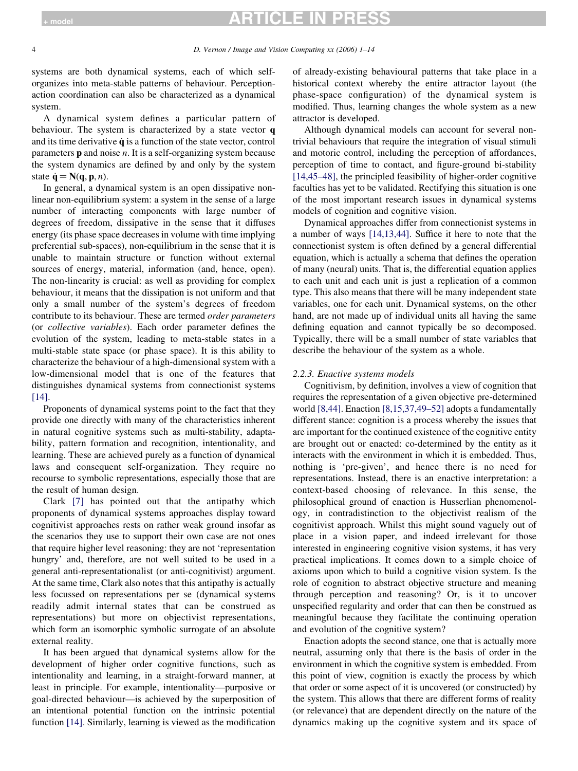# **ICLE IN PRE**

systems are both dynamical systems, each of which selforganizes into meta-stable patterns of behaviour. Perceptionaction coordination can also be characterized as a dynamical system.

A dynamical system defines a particular pattern of behaviour. The system is characterized by a state vector q and its time derivative  $\dot{q}$  is a function of the state vector, control parameters  $\bf{p}$  and noise  $n$ . It is a self-organizing system because the system dynamics are defined by and only by the system state  $\dot{\mathbf{q}} = \mathbf{N}(\mathbf{q}, \mathbf{p}, n)$ .

In general, a dynamical system is an open dissipative nonlinear non-equilibrium system: a system in the sense of a large number of interacting components with large number of degrees of freedom, dissipative in the sense that it diffuses energy (its phase space decreases in volume with time implying preferential sub-spaces), non-equilibrium in the sense that it is unable to maintain structure or function without external sources of energy, material, information (and, hence, open). The non-linearity is crucial: as well as providing for complex behaviour, it means that the dissipation is not uniform and that only a small number of the system's degrees of freedom contribute to its behaviour. These are termed order parameters (or collective variables). Each order parameter defines the evolution of the system, leading to meta-stable states in a multi-stable state space (or phase space). It is this ability to characterize the behaviour of a high-dimensional system with a low-dimensional model that is one of the features that distinguishes dynamical systems from connectionist systems [\[14\]](#page-11-0).

Proponents of dynamical systems point to the fact that they provide one directly with many of the characteristics inherent in natural cognitive systems such as multi-stability, adaptability, pattern formation and recognition, intentionality, and learning. These are achieved purely as a function of dynamical laws and consequent self-organization. They require no recourse to symbolic representations, especially those that are the result of human design.

Clark [\[7\]](#page-11-0) has pointed out that the antipathy which proponents of dynamical systems approaches display toward cognitivist approaches rests on rather weak ground insofar as the scenarios they use to support their own case are not ones that require higher level reasoning: they are not 'representation hungry' and, therefore, are not well suited to be used in a general anti-representationalist (or anti-cognitivist) argument. At the same time, Clark also notes that this antipathy is actually less focussed on representations per se (dynamical systems readily admit internal states that can be construed as representations) but more on objectivist representations, which form an isomorphic symbolic surrogate of an absolute external reality.

It has been argued that dynamical systems allow for the development of higher order cognitive functions, such as intentionality and learning, in a straight-forward manner, at least in principle. For example, intentionality—purposive or goal-directed behaviour—is achieved by the superposition of an intentional potential function on the intrinsic potential function [\[14\]](#page-11-0). Similarly, learning is viewed as the modification

of already-existing behavioural patterns that take place in a historical context whereby the entire attractor layout (the phase-space configuration) of the dynamical system is modified. Thus, learning changes the whole system as a new attractor is developed.

Although dynamical models can account for several nontrivial behaviours that require the integration of visual stimuli and motoric control, including the perception of affordances, perception of time to contact, and figure-ground bi-stability [\[14,45–48\],](#page-11-0) the principled feasibility of higher-order cognitive faculties has yet to be validated. Rectifying this situation is one of the most important research issues in dynamical systems models of cognition and cognitive vision.

Dynamical approaches differ from connectionist systems in a number of ways [\[14,13,44\].](#page-11-0) Suffice it here to note that the connectionist system is often defined by a general differential equation, which is actually a schema that defines the operation of many (neural) units. That is, the differential equation applies to each unit and each unit is just a replication of a common type. This also means that there will be many independent state variables, one for each unit. Dynamical systems, on the other hand, are not made up of individual units all having the same defining equation and cannot typically be so decomposed. Typically, there will be a small number of state variables that describe the behaviour of the system as a whole.

#### 2.2.3. Enactive systems models

Cognitivism, by definition, involves a view of cognition that requires the representation of a given objective pre-determined world [\[8,44\]](#page-11-0). Enaction [\[8,15,37,49–52\]](#page-11-0) adopts a fundamentally different stance: cognition is a process whereby the issues that are important for the continued existence of the cognitive entity are brought out or enacted: co-determined by the entity as it interacts with the environment in which it is embedded. Thus, nothing is 'pre-given', and hence there is no need for representations. Instead, there is an enactive interpretation: a context-based choosing of relevance. In this sense, the philosophical ground of enaction is Husserlian phenomenology, in contradistinction to the objectivist realism of the cognitivist approach. Whilst this might sound vaguely out of place in a vision paper, and indeed irrelevant for those interested in engineering cognitive vision systems, it has very practical implications. It comes down to a simple choice of axioms upon which to build a cognitive vision system. Is the role of cognition to abstract objective structure and meaning through perception and reasoning? Or, is it to uncover unspecified regularity and order that can then be construed as meaningful because they facilitate the continuing operation and evolution of the cognitive system?

Enaction adopts the second stance, one that is actually more neutral, assuming only that there is the basis of order in the environment in which the cognitive system is embedded. From this point of view, cognition is exactly the process by which that order or some aspect of it is uncovered (or constructed) by the system. This allows that there are different forms of reality (or relevance) that are dependent directly on the nature of the dynamics making up the cognitive system and its space of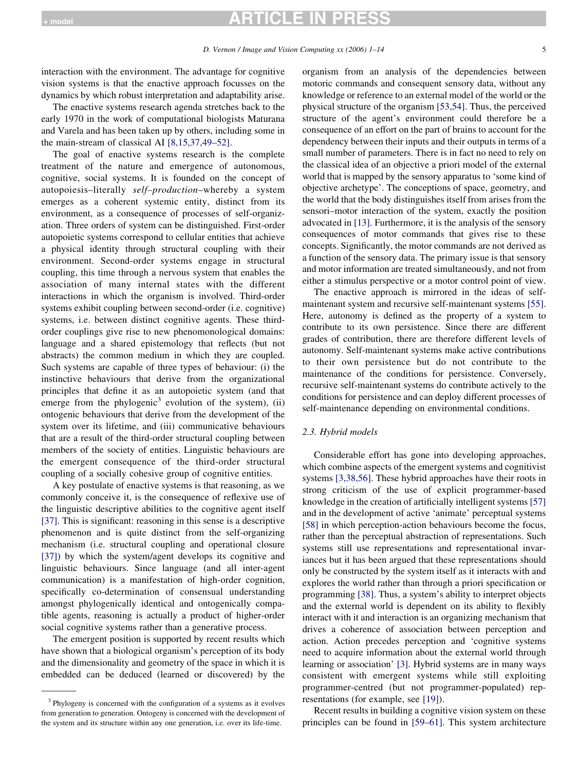# RTICLE IN PRE

interaction with the environment. The advantage for cognitive vision systems is that the enactive approach focusses on the dynamics by which robust interpretation and adaptability arise.

The enactive systems research agenda stretches back to the early 1970 in the work of computational biologists Maturana and Varela and has been taken up by others, including some in the main-stream of classical AI [\[8,15,37,49–52\].](#page-11-0)

The goal of enactive systems research is the complete treatment of the nature and emergence of autonomous, cognitive, social systems. It is founded on the concept of autopoiesis–literally self–production–whereby a system emerges as a coherent systemic entity, distinct from its environment, as a consequence of processes of self-organization. Three orders of system can be distinguished. First-order autopoietic systems correspond to cellular entities that achieve a physical identity through structural coupling with their environment. Second-order systems engage in structural coupling, this time through a nervous system that enables the association of many internal states with the different interactions in which the organism is involved. Third-order systems exhibit coupling between second-order (i.e. cognitive) systems, i.e. between distinct cognitive agents. These thirdorder couplings give rise to new phenomonological domains: language and a shared epistemology that reflects (but not abstracts) the common medium in which they are coupled. Such systems are capable of three types of behaviour: (i) the instinctive behaviours that derive from the organizational principles that define it as an autopoietic system (and that emerge from the phylogenic<sup>3</sup> evolution of the system), (ii) ontogenic behaviours that derive from the development of the system over its lifetime, and (iii) communicative behaviours that are a result of the third-order structural coupling between members of the society of entities. Linguistic behaviours are the emergent consequence of the third-order structural coupling of a socially cohesive group of cognitive entities.

A key postulate of enactive systems is that reasoning, as we commonly conceive it, is the consequence of reflexive use of the linguistic descriptive abilities to the cognitive agent itself [\[37\]](#page-12-0). This is significant: reasoning in this sense is a descriptive phenomenon and is quite distinct from the self-organizing mechanism (i.e. structural coupling and operational closure [\[37\]](#page-12-0)) by which the system/agent develops its cognitive and linguistic behaviours. Since language (and all inter-agent communication) is a manifestation of high-order cognition, specifically co-determination of consensual understanding amongst phylogenically identical and ontogenically compatible agents, reasoning is actually a product of higher-order social cognitive systems rather than a generative process.

The emergent position is supported by recent results which have shown that a biological organism's perception of its body and the dimensionality and geometry of the space in which it is embedded can be deduced (learned or discovered) by the

organism from an analysis of the dependencies between motoric commands and consequent sensory data, without any knowledge or reference to an external model of the world or the physical structure of the organism [\[53,54\]](#page-12-0). Thus, the perceived structure of the agent's environment could therefore be a consequence of an effort on the part of brains to account for the dependency between their inputs and their outputs in terms of a small number of parameters. There is in fact no need to rely on the classical idea of an objective a priori model of the external world that is mapped by the sensory apparatus to 'some kind of objective archetype'. The conceptions of space, geometry, and the world that the body distinguishes itself from arises from the sensori–motor interaction of the system, exactly the position advocated in [\[13\]](#page-11-0). Furthermore, it is the analysis of the sensory consequences of motor commands that gives rise to these concepts. Significantly, the motor commands are not derived as a function of the sensory data. The primary issue is that sensory and motor information are treated simultaneously, and not from either a stimulus perspective or a motor control point of view.

The enactive approach is mirrored in the ideas of selfmaintenant system and recursive self-maintenant systems [\[55\]](#page-12-0). Here, autonomy is defined as the property of a system to contribute to its own persistence. Since there are different grades of contribution, there are therefore different levels of autonomy. Self-maintenant systems make active contributions to their own persistence but do not contribute to the maintenance of the conditions for persistence. Conversely, recursive self-maintenant systems do contribute actively to the conditions for persistence and can deploy different processes of self-maintenance depending on environmental conditions.

# 2.3. Hybrid models

Considerable effort has gone into developing approaches, which combine aspects of the emergent systems and cognitivist systems [\[3,38,56\]](#page-11-0). These hybrid approaches have their roots in strong criticism of the use of explicit programmer-based knowledge in the creation of artificially intelligent systems [\[57\]](#page-12-0) and in the development of active 'animate' perceptual systems [\[58\]](#page-12-0) in which perception-action behaviours become the focus, rather than the perceptual abstraction of representations. Such systems still use representations and representational invariances but it has been argued that these representations should only be constructed by the system itself as it interacts with and explores the world rather than through a priori specification or programming [\[38\]](#page-12-0). Thus, a system's ability to interpret objects and the external world is dependent on its ability to flexibly interact with it and interaction is an organizing mechanism that drives a coherence of association between perception and action. Action precedes perception and 'cognitive systems need to acquire information about the external world through learning or association' [\[3\].](#page-11-0) Hybrid systems are in many ways consistent with emergent systems while still exploiting programmer-centred (but not programmer-populated) representations (for example, see [\[19\]](#page-11-0)).

Recent results in building a cognitive vision system on these principles can be found in [\[59–61\].](#page-12-0) This system architecture

<sup>&</sup>lt;sup>3</sup> Phylogeny is concerned with the configuration of a systems as it evolves from generation to generation. Ontogeny is concerned with the development of the system and its structure within any one generation, i.e. over its life-time.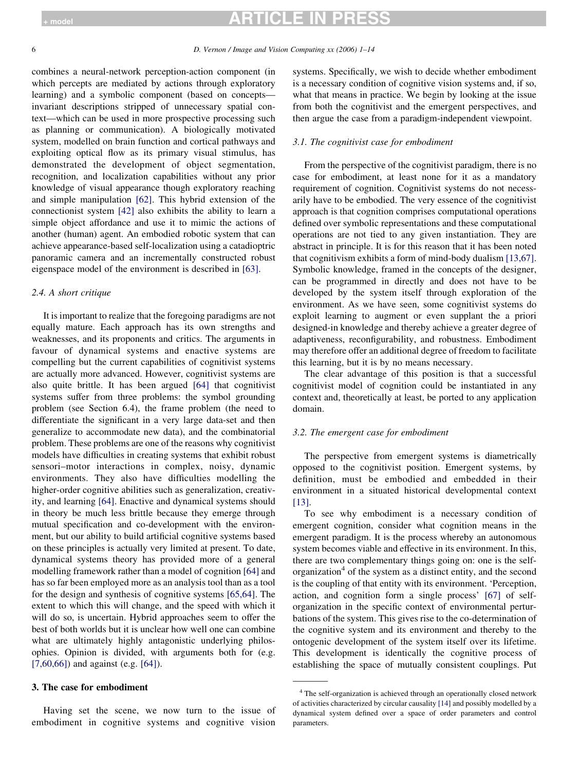# CLE IN P

combines a neural-network perception-action component (in which percepts are mediated by actions through exploratory learning) and a symbolic component (based on concepts invariant descriptions stripped of unnecessary spatial context—which can be used in more prospective processing such as planning or communication). A biologically motivated system, modelled on brain function and cortical pathways and exploiting optical flow as its primary visual stimulus, has demonstrated the development of object segmentation, recognition, and localization capabilities without any prior knowledge of visual appearance though exploratory reaching and simple manipulation [\[62\].](#page-12-0) This hybrid extension of the connectionist system [\[42\]](#page-12-0) also exhibits the ability to learn a simple object affordance and use it to mimic the actions of another (human) agent. An embodied robotic system that can achieve appearance-based self-localization using a catadioptric panoramic camera and an incrementally constructed robust eigenspace model of the environment is described in [\[63\]](#page-12-0).

#### 2.4. A short critique

It is important to realize that the foregoing paradigms are not equally mature. Each approach has its own strengths and weaknesses, and its proponents and critics. The arguments in favour of dynamical systems and enactive systems are compelling but the current capabilities of cognitivist systems are actually more advanced. However, cognitivist systems are also quite brittle. It has been argued [\[64\]](#page-12-0) that cognitivist systems suffer from three problems: the symbol grounding problem (see Section 6.4), the frame problem (the need to differentiate the significant in a very large data-set and then generalize to accommodate new data), and the combinatorial problem. These problems are one of the reasons why cognitivist models have difficulties in creating systems that exhibit robust sensori–motor interactions in complex, noisy, dynamic environments. They also have difficulties modelling the higher-order cognitive abilities such as generalization, creativity, and learning [\[64\].](#page-12-0) Enactive and dynamical systems should in theory be much less brittle because they emerge through mutual specification and co-development with the environment, but our ability to build artificial cognitive systems based on these principles is actually very limited at present. To date, dynamical systems theory has provided more of a general modelling framework rather than a model of cognition [\[64\]](#page-12-0) and has so far been employed more as an analysis tool than as a tool for the design and synthesis of cognitive systems [\[65,64\].](#page-12-0) The extent to which this will change, and the speed with which it will do so, is uncertain. Hybrid approaches seem to offer the best of both worlds but it is unclear how well one can combine what are ultimately highly antagonistic underlying philosophies. Opinion is divided, with arguments both for (e.g. [\[7,60,66\]](#page-11-0)) and against (e.g. [\[64\]](#page-12-0)).

### 3. The case for embodiment

Having set the scene, we now turn to the issue of embodiment in cognitive systems and cognitive vision systems. Specifically, we wish to decide whether embodiment is a necessary condition of cognitive vision systems and, if so, what that means in practice. We begin by looking at the issue from both the cognitivist and the emergent perspectives, and then argue the case from a paradigm-independent viewpoint.

### 3.1. The cognitivist case for embodiment

From the perspective of the cognitivist paradigm, there is no case for embodiment, at least none for it as a mandatory requirement of cognition. Cognitivist systems do not necessarily have to be embodied. The very essence of the cognitivist approach is that cognition comprises computational operations defined over symbolic representations and these computational operations are not tied to any given instantiation. They are abstract in principle. It is for this reason that it has been noted that cognitivism exhibits a form of mind-body dualism [\[13,67\]](#page-11-0). Symbolic knowledge, framed in the concepts of the designer, can be programmed in directly and does not have to be developed by the system itself through exploration of the environment. As we have seen, some cognitivist systems do exploit learning to augment or even supplant the a priori designed-in knowledge and thereby achieve a greater degree of adaptiveness, reconfigurability, and robustness. Embodiment may therefore offer an additional degree of freedom to facilitate this learning, but it is by no means necessary.

The clear advantage of this position is that a successful cognitivist model of cognition could be instantiated in any context and, theoretically at least, be ported to any application domain.

#### 3.2. The emergent case for embodiment

The perspective from emergent systems is diametrically opposed to the cognitivist position. Emergent systems, by definition, must be embodied and embedded in their environment in a situated historical developmental context [\[13\]](#page-11-0).

To see why embodiment is a necessary condition of emergent cognition, consider what cognition means in the emergent paradigm. It is the process whereby an autonomous system becomes viable and effective in its environment. In this, there are two complementary things going on: one is the selforganization<sup>4</sup> of the system as a distinct entity, and the second is the coupling of that entity with its environment. 'Perception, action, and cognition form a single process' [\[67\]](#page-12-0) of selforganization in the specific context of environmental perturbations of the system. This gives rise to the co-determination of the cognitive system and its environment and thereby to the ontogenic development of the system itself over its lifetime. This development is identically the cognitive process of establishing the space of mutually consistent couplings. Put

<sup>&</sup>lt;sup>4</sup> The self-organization is achieved through an operationally closed network of activities characterized by circular causality [\[14\]](#page-11-0) and possibly modelled by a dynamical system defined over a space of order parameters and control parameters.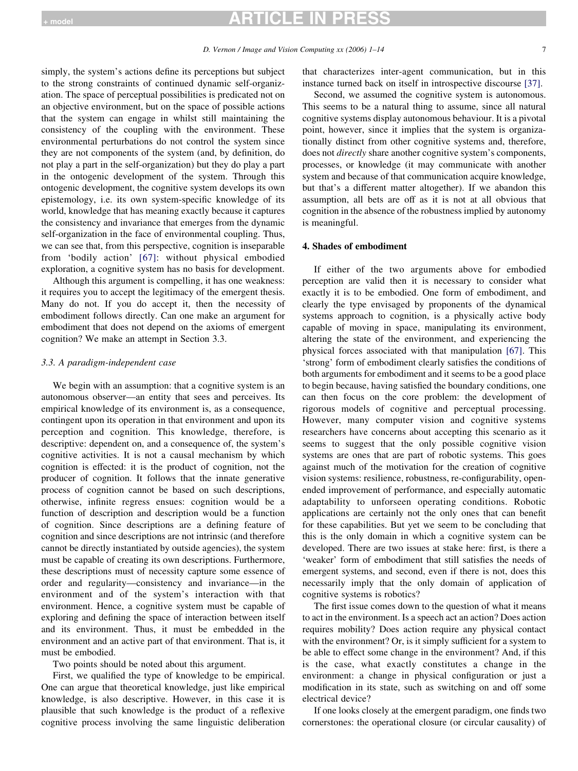# TICLE IN PRE

simply, the system's actions define its perceptions but subject to the strong constraints of continued dynamic self-organization. The space of perceptual possibilities is predicated not on an objective environment, but on the space of possible actions that the system can engage in whilst still maintaining the consistency of the coupling with the environment. These environmental perturbations do not control the system since they are not components of the system (and, by definition, do not play a part in the self-organization) but they do play a part in the ontogenic development of the system. Through this ontogenic development, the cognitive system develops its own epistemology, i.e. its own system-specific knowledge of its world, knowledge that has meaning exactly because it captures the consistency and invariance that emerges from the dynamic self-organization in the face of environmental coupling. Thus, we can see that, from this perspective, cognition is inseparable from 'bodily action' [\[67\]](#page-12-0): without physical embodied exploration, a cognitive system has no basis for development.

Although this argument is compelling, it has one weakness: it requires you to accept the legitimacy of the emergent thesis. Many do not. If you do accept it, then the necessity of embodiment follows directly. Can one make an argument for embodiment that does not depend on the axioms of emergent cognition? We make an attempt in Section 3.3.

### 3.3. A paradigm-independent case

We begin with an assumption: that a cognitive system is an autonomous observer—an entity that sees and perceives. Its empirical knowledge of its environment is, as a consequence, contingent upon its operation in that environment and upon its perception and cognition. This knowledge, therefore, is descriptive: dependent on, and a consequence of, the system's cognitive activities. It is not a causal mechanism by which cognition is effected: it is the product of cognition, not the producer of cognition. It follows that the innate generative process of cognition cannot be based on such descriptions, otherwise, infinite regress ensues: cognition would be a function of description and description would be a function of cognition. Since descriptions are a defining feature of cognition and since descriptions are not intrinsic (and therefore cannot be directly instantiated by outside agencies), the system must be capable of creating its own descriptions. Furthermore, these descriptions must of necessity capture some essence of order and regularity—consistency and invariance—in the environment and of the system's interaction with that environment. Hence, a cognitive system must be capable of exploring and defining the space of interaction between itself and its environment. Thus, it must be embedded in the environment and an active part of that environment. That is, it must be embodied.

Two points should be noted about this argument.

First, we qualified the type of knowledge to be empirical. One can argue that theoretical knowledge, just like empirical knowledge, is also descriptive. However, in this case it is plausible that such knowledge is the product of a reflexive cognitive process involving the same linguistic deliberation that characterizes inter-agent communication, but in this instance turned back on itself in introspective discourse [\[37\].](#page-12-0)

Second, we assumed the cognitive system is autonomous. This seems to be a natural thing to assume, since all natural cognitive systems display autonomous behaviour. It is a pivotal point, however, since it implies that the system is organizationally distinct from other cognitive systems and, therefore, does not directly share another cognitive system's components, processes, or knowledge (it may communicate with another system and because of that communication acquire knowledge, but that's a different matter altogether). If we abandon this assumption, all bets are off as it is not at all obvious that cognition in the absence of the robustness implied by autonomy is meaningful.

### 4. Shades of embodiment

If either of the two arguments above for embodied perception are valid then it is necessary to consider what exactly it is to be embodied. One form of embodiment, and clearly the type envisaged by proponents of the dynamical systems approach to cognition, is a physically active body capable of moving in space, manipulating its environment, altering the state of the environment, and experiencing the physical forces associated with that manipulation [\[67\]](#page-12-0). This 'strong' form of embodiment clearly satisfies the conditions of both arguments for embodiment and it seems to be a good place to begin because, having satisfied the boundary conditions, one can then focus on the core problem: the development of rigorous models of cognitive and perceptual processing. However, many computer vision and cognitive systems researchers have concerns about accepting this scenario as it seems to suggest that the only possible cognitive vision systems are ones that are part of robotic systems. This goes against much of the motivation for the creation of cognitive vision systems: resilience, robustness, re-configurability, openended improvement of performance, and especially automatic adaptability to unforseen operating conditions. Robotic applications are certainly not the only ones that can benefit for these capabilities. But yet we seem to be concluding that this is the only domain in which a cognitive system can be developed. There are two issues at stake here: first, is there a 'weaker' form of embodiment that still satisfies the needs of emergent systems, and second, even if there is not, does this necessarily imply that the only domain of application of cognitive systems is robotics?

The first issue comes down to the question of what it means to act in the environment. Is a speech act an action? Does action requires mobility? Does action require any physical contact with the environment? Or, is it simply sufficient for a system to be able to effect some change in the environment? And, if this is the case, what exactly constitutes a change in the environment: a change in physical configuration or just a modification in its state, such as switching on and off some electrical device?

If one looks closely at the emergent paradigm, one finds two cornerstones: the operational closure (or circular causality) of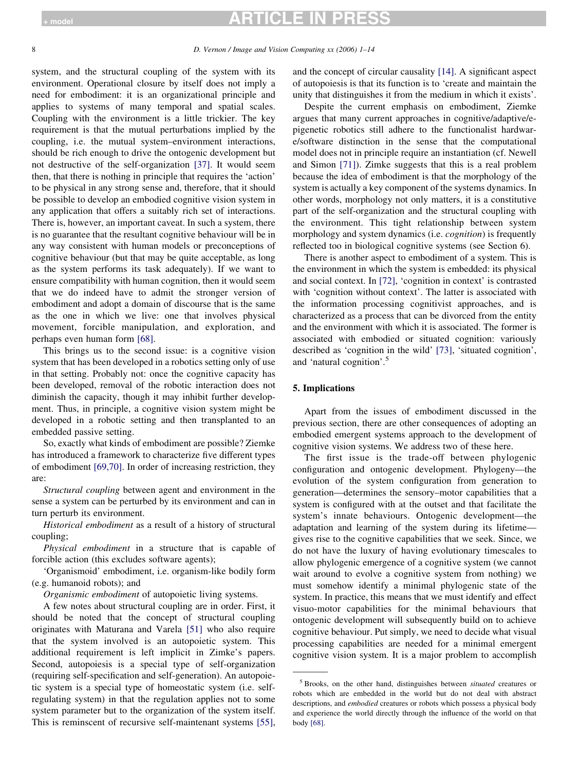# **CLE IN P**

system, and the structural coupling of the system with its environment. Operational closure by itself does not imply a need for embodiment: it is an organizational principle and applies to systems of many temporal and spatial scales. Coupling with the environment is a little trickier. The key requirement is that the mutual perturbations implied by the coupling, i.e. the mutual system–environment interactions, should be rich enough to drive the ontogenic development but not destructive of the self-organization [\[37\]](#page-12-0). It would seem then, that there is nothing in principle that requires the 'action' to be physical in any strong sense and, therefore, that it should be possible to develop an embodied cognitive vision system in any application that offers a suitably rich set of interactions. There is, however, an important caveat. In such a system, there is no guarantee that the resultant cognitive behaviour will be in any way consistent with human models or preconceptions of cognitive behaviour (but that may be quite acceptable, as long as the system performs its task adequately). If we want to ensure compatibility with human cognition, then it would seem that we do indeed have to admit the stronger version of embodiment and adopt a domain of discourse that is the same as the one in which we live: one that involves physical movement, forcible manipulation, and exploration, and perhaps even human form [\[68\]](#page-12-0).

This brings us to the second issue: is a cognitive vision system that has been developed in a robotics setting only of use in that setting. Probably not: once the cognitive capacity has been developed, removal of the robotic interaction does not diminish the capacity, though it may inhibit further development. Thus, in principle, a cognitive vision system might be developed in a robotic setting and then transplanted to an embedded passive setting.

So, exactly what kinds of embodiment are possible? Ziemke has introduced a framework to characterize five different types of embodiment [\[69,70\].](#page-12-0) In order of increasing restriction, they are:

Structural coupling between agent and environment in the sense a system can be perturbed by its environment and can in turn perturb its environment.

Historical embodiment as a result of a history of structural coupling;

Physical embodiment in a structure that is capable of forcible action (this excludes software agents);

'Organismoid' embodiment, i.e. organism-like bodily form (e.g. humanoid robots); and

Organismic embodiment of autopoietic living systems.

A few notes about structural coupling are in order. First, it should be noted that the concept of structural coupling originates with Maturana and Varela [\[51\]](#page-12-0) who also require that the system involved is an autopoietic system. This additional requirement is left implicit in Zimke's papers. Second, autopoiesis is a special type of self-organization (requiring self-specification and self-generation). An autopoietic system is a special type of homeostatic system (i.e. selfregulating system) in that the regulation applies not to some system parameter but to the organization of the system itself. This is reminscent of recursive self-maintenant systems [\[55\]](#page-12-0),

and the concept of circular causality [\[14\].](#page-11-0) A significant aspect of autopoiesis is that its function is to 'create and maintain the unity that distinguishes it from the medium in which it exists'.

Despite the current emphasis on embodiment, Ziemke argues that many current approaches in cognitive/adaptive/epigenetic robotics still adhere to the functionalist hardware/software distinction in the sense that the computational model does not in principle require an instantiation (cf. Newell and Simon [\[71\]\)](#page-12-0). Zimke suggests that this is a real problem because the idea of embodiment is that the morphology of the system is actually a key component of the systems dynamics. In other words, morphology not only matters, it is a constitutive part of the self-organization and the structural coupling with the environment. This tight relationship between system morphology and system dynamics (i.e. *cognition*) is frequently reflected too in biological cognitive systems (see Section 6).

There is another aspect to embodiment of a system. This is the environment in which the system is embedded: its physical and social context. In [\[72\]](#page-12-0), 'cognition in context' is contrasted with 'cognition without context'. The latter is associated with the information processing cognitivist approaches, and is characterized as a process that can be divorced from the entity and the environment with which it is associated. The former is associated with embodied or situated cognition: variously described as 'cognition in the wild' [\[73\],](#page-12-0) 'situated cognition', and 'natural cognition'.<sup>5</sup>

### 5. Implications

Apart from the issues of embodiment discussed in the previous section, there are other consequences of adopting an embodied emergent systems approach to the development of cognitive vision systems. We address two of these here.

The first issue is the trade-off between phylogenic configuration and ontogenic development. Phylogeny—the evolution of the system configuration from generation to generation—determines the sensory–motor capabilities that a system is configured with at the outset and that facilitate the system's innate behaviours. Ontogenic development—the adaptation and learning of the system during its lifetime gives rise to the cognitive capabilities that we seek. Since, we do not have the luxury of having evolutionary timescales to allow phylogenic emergence of a cognitive system (we cannot wait around to evolve a cognitive system from nothing) we must somehow identify a minimal phylogenic state of the system. In practice, this means that we must identify and effect visuo-motor capabilities for the minimal behaviours that ontogenic development will subsequently build on to achieve cognitive behaviour. Put simply, we need to decide what visual processing capabilities are needed for a minimal emergent cognitive vision system. It is a major problem to accomplish

<sup>&</sup>lt;sup>5</sup> Brooks, on the other hand, distinguishes between *situated* creatures or robots which are embedded in the world but do not deal with abstract descriptions, and embodied creatures or robots which possess a physical body and experience the world directly through the influence of the world on that body [\[68\]](#page-12-0).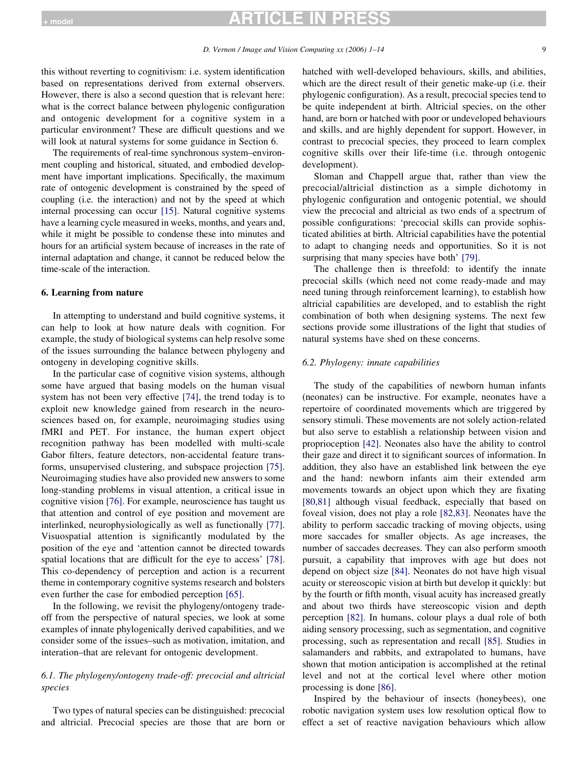# RTICLE IN PRE

this without reverting to cognitivism: i.e. system identification based on representations derived from external observers. However, there is also a second question that is relevant here: what is the correct balance between phylogenic configuration and ontogenic development for a cognitive system in a particular environment? These are difficult questions and we will look at natural systems for some guidance in Section 6.

The requirements of real-time synchronous system–environment coupling and historical, situated, and embodied development have important implications. Specifically, the maximum rate of ontogenic development is constrained by the speed of coupling (i.e. the interaction) and not by the speed at which internal processing can occur [\[15\]](#page-11-0). Natural cognitive systems have a learning cycle measured in weeks, months, and years and, while it might be possible to condense these into minutes and hours for an artificial system because of increases in the rate of internal adaptation and change, it cannot be reduced below the time-scale of the interaction.

#### 6. Learning from nature

In attempting to understand and build cognitive systems, it can help to look at how nature deals with cognition. For example, the study of biological systems can help resolve some of the issues surrounding the balance between phylogeny and ontogeny in developing cognitive skills.

In the particular case of cognitive vision systems, although some have argued that basing models on the human visual system has not been very effective [\[74\],](#page-12-0) the trend today is to exploit new knowledge gained from research in the neurosciences based on, for example, neuroimaging studies using fMRI and PET. For instance, the human expert object recognition pathway has been modelled with multi-scale Gabor filters, feature detectors, non-accidental feature transforms, unsupervised clustering, and subspace projection [\[75\]](#page-12-0). Neuroimaging studies have also provided new answers to some long-standing problems in visual attention, a critical issue in cognitive vision [\[76\]](#page-13-0). For example, neuroscience has taught us that attention and control of eye position and movement are interlinked, neurophysiologically as well as functionally [\[77\]](#page-13-0). Visuospatial attention is significantly modulated by the position of the eye and 'attention cannot be directed towards spatial locations that are difficult for the eye to access' [\[78\]](#page-13-0). This co-dependency of perception and action is a recurrent theme in contemporary cognitive systems research and bolsters even further the case for embodied perception [\[65\]](#page-12-0).

In the following, we revisit the phylogeny/ontogeny tradeoff from the perspective of natural species, we look at some examples of innate phylogenically derived capabilities, and we consider some of the issues–such as motivation, imitation, and interation–that are relevant for ontogenic development.

## 6.1. The phylogeny/ontogeny trade-off: precocial and altricial species

Two types of natural species can be distinguished: precocial and altricial. Precocial species are those that are born or hatched with well-developed behaviours, skills, and abilities, which are the direct result of their genetic make-up (i.e. their phylogenic configuration). As a result, precocial species tend to be quite independent at birth. Altricial species, on the other hand, are born or hatched with poor or undeveloped behaviours and skills, and are highly dependent for support. However, in contrast to precocial species, they proceed to learn complex cognitive skills over their life-time (i.e. through ontogenic development).

Sloman and Chappell argue that, rather than view the precocial/altricial distinction as a simple dichotomy in phylogenic configuration and ontogenic potential, we should view the precocial and altricial as two ends of a spectrum of possible configurations: 'precocial skills can provide sophisticated abilities at birth. Altricial capabilities have the potential to adapt to changing needs and opportunities. So it is not surprising that many species have both' [\[79\]](#page-13-0).

The challenge then is threefold: to identify the innate precocial skills (which need not come ready-made and may need tuning through reinforcement learning), to establish how altricial capabilities are developed, and to establish the right combination of both when designing systems. The next few sections provide some illustrations of the light that studies of natural systems have shed on these concerns.

#### 6.2. Phylogeny: innate capabilities

The study of the capabilities of newborn human infants (neonates) can be instructive. For example, neonates have a repertoire of coordinated movements which are triggered by sensory stimuli. These movements are not solely action-related but also serve to establish a relationship between vision and proprioception [\[42\]](#page-12-0). Neonates also have the ability to control their gaze and direct it to significant sources of information. In addition, they also have an established link between the eye and the hand: newborn infants aim their extended arm movements towards an object upon which they are fixating [\[80,81\]](#page-13-0) although visual feedback, especially that based on foveal vision, does not play a role [\[82,83\]](#page-13-0). Neonates have the ability to perform saccadic tracking of moving objects, using more saccades for smaller objects. As age increases, the number of saccades decreases. They can also perform smooth pursuit, a capability that improves with age but does not depend on object size [\[84\]](#page-13-0). Neonates do not have high visual acuity or stereoscopic vision at birth but develop it quickly: but by the fourth or fifth month, visual acuity has increased greatly and about two thirds have stereoscopic vision and depth perception [\[82\]](#page-13-0). In humans, colour plays a dual role of both aiding sensory processing, such as segmentation, and cognitive processing, such as representation and recall [\[85\].](#page-13-0) Studies in salamanders and rabbits, and extrapolated to humans, have shown that motion anticipation is accomplished at the retinal level and not at the cortical level where other motion processing is done [\[86\].](#page-13-0)

Inspired by the behaviour of insects (honeybees), one robotic navigation system uses low resolution optical flow to effect a set of reactive navigation behaviours which allow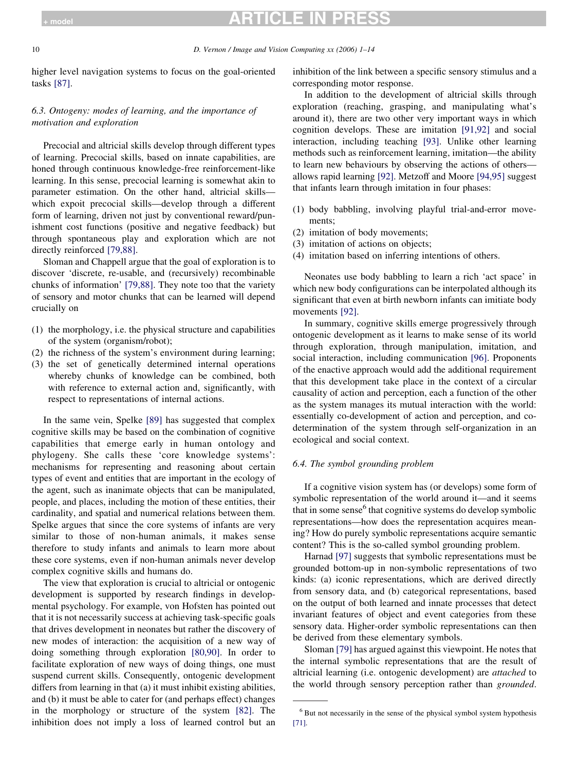# ICLE IN P

higher level navigation systems to focus on the goal-oriented tasks [\[87\]](#page-13-0).

## 6.3. Ontogeny: modes of learning, and the importance of motivation and exploration

Precocial and altricial skills develop through different types of learning. Precocial skills, based on innate capabilities, are honed through continuous knowledge-free reinforcement-like learning. In this sense, precocial learning is somewhat akin to parameter estimation. On the other hand, altricial skills which expoit precocial skills—develop through a different form of learning, driven not just by conventional reward/punishment cost functions (positive and negative feedback) but through spontaneous play and exploration which are not directly reinforced [\[79,88\].](#page-13-0)

Sloman and Chappell argue that the goal of exploration is to discover 'discrete, re-usable, and (recursively) recombinable chunks of information' [\[79,88\].](#page-13-0) They note too that the variety of sensory and motor chunks that can be learned will depend crucially on

- (1) the morphology, i.e. the physical structure and capabilities of the system (organism/robot);
- (2) the richness of the system's environment during learning;
- (3) the set of genetically determined internal operations whereby chunks of knowledge can be combined, both with reference to external action and, significantly, with respect to representations of internal actions.

In the same vein, Spelke [\[89\]](#page-13-0) has suggested that complex cognitive skills may be based on the combination of cognitive capabilities that emerge early in human ontology and phylogeny. She calls these 'core knowledge systems': mechanisms for representing and reasoning about certain types of event and entities that are important in the ecology of the agent, such as inanimate objects that can be manipulated, people, and places, including the motion of these entities, their cardinality, and spatial and numerical relations between them. Spelke argues that since the core systems of infants are very similar to those of non-human animals, it makes sense therefore to study infants and animals to learn more about these core systems, even if non-human animals never develop complex cognitive skills and humans do.

The view that exploration is crucial to altricial or ontogenic development is supported by research findings in developmental psychology. For example, von Hofsten has pointed out that it is not necessarily success at achieving task-specific goals that drives development in neonates but rather the discovery of new modes of interaction: the acquisition of a new way of doing something through exploration [\[80,90\]](#page-13-0). In order to facilitate exploration of new ways of doing things, one must suspend current skills. Consequently, ontogenic development differs from learning in that (a) it must inhibit existing abilities, and (b) it must be able to cater for (and perhaps effect) changes in the morphology or structure of the system [\[82\]](#page-13-0). The inhibition does not imply a loss of learned control but an

inhibition of the link between a specific sensory stimulus and a corresponding motor response.

In addition to the development of altricial skills through exploration (reaching, grasping, and manipulating what's around it), there are two other very important ways in which cognition develops. These are imitation [\[91,92\]](#page-13-0) and social interaction, including teaching [\[93\].](#page-13-0) Unlike other learning methods such as reinforcement learning, imitation—the ability to learn new behaviours by observing the actions of others allows rapid learning [\[92\].](#page-13-0) Metzoff and Moore [\[94,95\]](#page-13-0) suggest that infants learn through imitation in four phases:

- (1) body babbling, involving playful trial-and-error movements;
- (2) imitation of body movements;
- (3) imitation of actions on objects;
- (4) imitation based on inferring intentions of others.

Neonates use body babbling to learn a rich 'act space' in which new body configurations can be interpolated although its significant that even at birth newborn infants can imitiate body movements [\[92\]](#page-13-0).

In summary, cognitive skills emerge progressively through ontogenic development as it learns to make sense of its world through exploration, through manipulation, imitation, and social interaction, including communication [\[96\].](#page-13-0) Proponents of the enactive approach would add the additional requirement that this development take place in the context of a circular causality of action and perception, each a function of the other as the system manages its mutual interaction with the world: essentially co-development of action and perception, and codetermination of the system through self-organization in an ecological and social context.

### 6.4. The symbol grounding problem

If a cognitive vision system has (or develops) some form of symbolic representation of the world around it—and it seems that in some sense<sup>6</sup> that cognitive systems do develop symbolic representations—how does the representation acquires meaning? How do purely symbolic representations acquire semantic content? This is the so-called symbol grounding problem.

Harnad [\[97\]](#page-13-0) suggests that symbolic representations must be grounded bottom-up in non-symbolic representations of two kinds: (a) iconic representations, which are derived directly from sensory data, and (b) categorical representations, based on the output of both learned and innate processes that detect invariant features of object and event categories from these sensory data. Higher-order symbolic representations can then be derived from these elementary symbols.

Sloman [\[79\]](#page-13-0) has argued against this viewpoint. He notes that the internal symbolic representations that are the result of altricial learning (i.e. ontogenic development) are attached to the world through sensory perception rather than grounded.

<sup>6</sup> But not necessarily in the sense of the physical symbol system hypothesis [\[71\].](#page-12-0)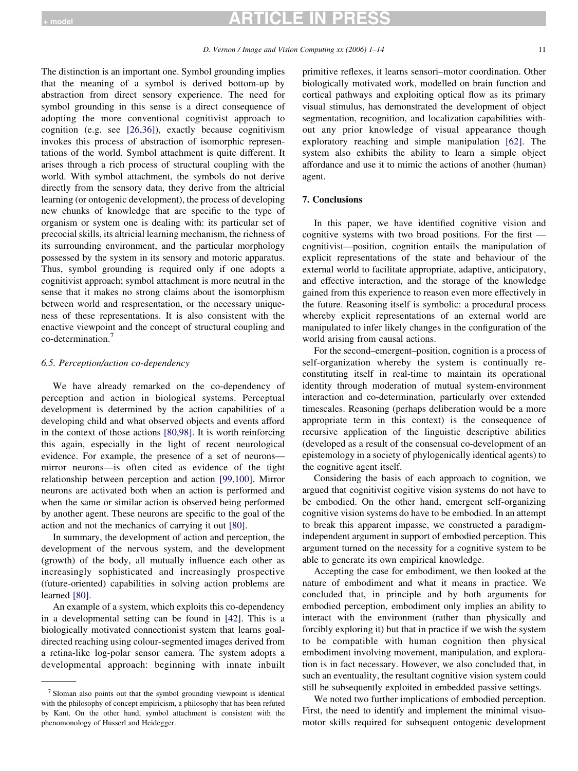# TICLE IN PR

The distinction is an important one. Symbol grounding implies that the meaning of a symbol is derived bottom-up by abstraction from direct sensory experience. The need for symbol grounding in this sense is a direct consequence of adopting the more conventional cognitivist approach to cognition (e.g. see [\[26,36\]\)](#page-11-0), exactly because cognitivism invokes this process of abstraction of isomorphic representations of the world. Symbol attachment is quite different. It arises through a rich process of structural coupling with the world. With symbol attachment, the symbols do not derive directly from the sensory data, they derive from the altricial learning (or ontogenic development), the process of developing new chunks of knowledge that are specific to the type of organism or system one is dealing with: its particular set of precocial skills, its altricial learning mechanism, the richness of its surrounding environment, and the particular morphology possessed by the system in its sensory and motoric apparatus. Thus, symbol grounding is required only if one adopts a cognitivist approach; symbol attachment is more neutral in the sense that it makes no strong claims about the isomorphism between world and respresentation, or the necessary uniqueness of these representations. It is also consistent with the enactive viewpoint and the concept of structural coupling and co-determination.<sup>7</sup>

### 6.5. Perception/action co-dependency

We have already remarked on the co-dependency of perception and action in biological systems. Perceptual development is determined by the action capabilities of a developing child and what observed objects and events afford in the context of those actions [\[80,98\].](#page-13-0) It is worth reinforcing this again, especially in the light of recent neurological evidence. For example, the presence of a set of neurons mirror neurons—is often cited as evidence of the tight relationship between perception and action [\[99,100\]](#page-13-0). Mirror neurons are activated both when an action is performed and when the same or similar action is observed being performed by another agent. These neurons are specific to the goal of the action and not the mechanics of carrying it out [\[80\].](#page-13-0)

In summary, the development of action and perception, the development of the nervous system, and the development (growth) of the body, all mutually influence each other as increasingly sophisticated and increasingly prospective (future-oriented) capabilities in solving action problems are learned [\[80\].](#page-13-0)

An example of a system, which exploits this co-dependency in a developmental setting can be found in [\[42\]](#page-12-0). This is a biologically motivated connectionist system that learns goaldirected reaching using colour-segmented images derived from a retina-like log-polar sensor camera. The system adopts a developmental approach: beginning with innate inbuilt primitive reflexes, it learns sensori–motor coordination. Other biologically motivated work, modelled on brain function and cortical pathways and exploiting optical flow as its primary visual stimulus, has demonstrated the development of object segmentation, recognition, and localization capabilities without any prior knowledge of visual appearance though exploratory reaching and simple manipulation [\[62\].](#page-12-0) The system also exhibits the ability to learn a simple object affordance and use it to mimic the actions of another (human) agent.

#### 7. Conclusions

In this paper, we have identified cognitive vision and cognitive systems with two broad positions. For the first cognitivist—position, cognition entails the manipulation of explicit representations of the state and behaviour of the external world to facilitate appropriate, adaptive, anticipatory, and effective interaction, and the storage of the knowledge gained from this experience to reason even more effectively in the future. Reasoning itself is symbolic: a procedural process whereby explicit representations of an external world are manipulated to infer likely changes in the configuration of the world arising from causal actions.

For the second–emergent–position, cognition is a process of self-organization whereby the system is continually reconstituting itself in real-time to maintain its operational identity through moderation of mutual system-environment interaction and co-determination, particularly over extended timescales. Reasoning (perhaps deliberation would be a more appropriate term in this context) is the consequence of recursive application of the linguistic descriptive abilities (developed as a result of the consensual co-development of an epistemology in a society of phylogenically identical agents) to the cognitive agent itself.

Considering the basis of each approach to cognition, we argued that cognitivist cogitive vision systems do not have to be embodied. On the other hand, emergent self-organizing cognitive vision systems do have to be embodied. In an attempt to break this apparent impasse, we constructed a paradigmindependent argument in support of embodied perception. This argument turned on the necessity for a cognitive system to be able to generate its own empirical knowledge.

Accepting the case for embodiment, we then looked at the nature of embodiment and what it means in practice. We concluded that, in principle and by both arguments for embodied perception, embodiment only implies an ability to interact with the environment (rather than physically and forcibly exploring it) but that in practice if we wish the system to be compatible with human cognition then physical embodiment involving movement, manipulation, and exploration is in fact necessary. However, we also concluded that, in such an eventuality, the resultant cognitive vision system could still be subsequently exploited in embedded passive settings.

We noted two further implications of embodied perception. First, the need to identify and implement the minimal visuomotor skills required for subsequent ontogenic development

<sup>7</sup> Sloman also points out that the symbol grounding viewpoint is identical with the philosophy of concept empiricism, a philosophy that has been refuted by Kant. On the other hand, symbol attachment is consistent with the phenomonology of Husserl and Heidegger.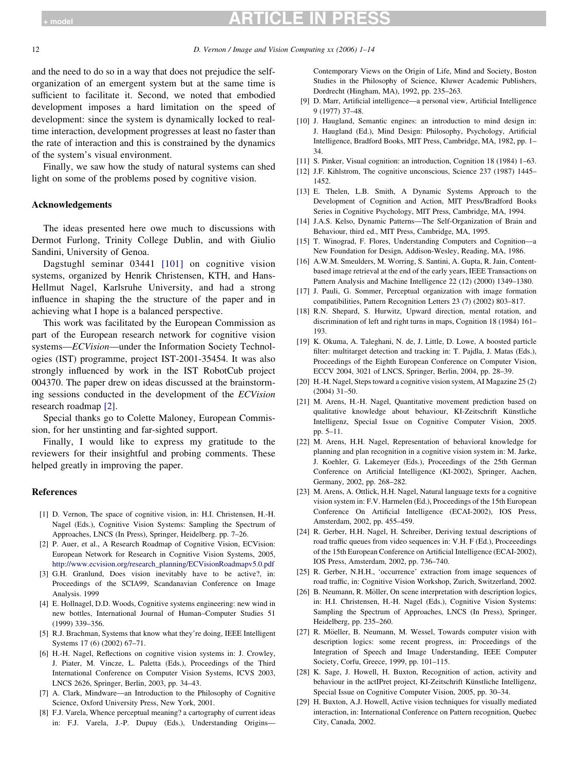# RTICLE IN PRE

<span id="page-11-0"></span>and the need to do so in a way that does not prejudice the selforganization of an emergent system but at the same time is sufficient to facilitate it. Second, we noted that embodied development imposes a hard limitation on the speed of development: since the system is dynamically locked to realtime interaction, development progresses at least no faster than the rate of interaction and this is constrained by the dynamics of the system's visual environment.

Finally, we saw how the study of natural systems can shed light on some of the problems posed by cognitive vision.

#### Acknowledgements

The ideas presented here owe much to discussions with Dermot Furlong, Trinity College Dublin, and with Giulio Sandini, University of Genoa.

Dagstughl seminar 03441 [\[101\]](#page-13-0) on cognitive vision systems, organized by Henrik Christensen, KTH, and Hans-Hellmut Nagel, Karlsruhe University, and had a strong influence in shaping the the structure of the paper and in achieving what I hope is a balanced perspective.

This work was facilitated by the European Commission as part of the European research network for cognitive vision systems—ECVision—under the Information Society Technologies (IST) programme, project IST-2001-35454. It was also strongly influenced by work in the IST RobotCub project 004370. The paper drew on ideas discussed at the brainstorming sessions conducted in the development of the ECVision research roadmap [2].

Special thanks go to Colette Maloney, European Commission, for her unstinting and far-sighted support.

Finally, I would like to express my gratitude to the reviewers for their insightful and probing comments. These helped greatly in improving the paper.

#### References

- [1] D. Vernon, The space of cognitive vision, in: H.I. Christensen, H.-H. Nagel (Eds.), Cognitive Vision Systems: Sampling the Spectrum of Approaches, LNCS (In Press), Springer, Heidelberg. pp. 7–26.
- [2] P. Auer, et al., A Research Roadmap of Cognitive Vision, ECVision: European Network for Research in Cognitive Vision Systems, 2005, [http://www.ecvision.org/research\\_planning/ECVisionRoadmapv5.0.pdf](http://http://www.ecvision.org/research_planning/ECVisionRoadmapv5.0.pdf)
- [3] G.H. Granlund, Does vision inevitably have to be active?, in: Proceedings of the SCIA99, Scandanavian Conference on Image Analysis. 1999
- [4] E. Hollnagel, D.D. Woods, Cognitive systems engineering: new wind in new bottles, International Journal of Human–Computer Studies 51 (1999) 339–356.
- [5] R.J. Brachman, Systems that know what they're doing, IEEE Intelligent Systems 17 (6) (2002) 67–71.
- [6] H.-H. Nagel, Reflections on cognitive vision systems in: J. Crowley, J. Piater, M. Vincze, L. Paletta (Eds.), Proceedings of the Third International Conference on Computer Vision Systems, ICVS 2003, LNCS 2626, Springer, Berlin, 2003, pp. 34–43.
- [7] A. Clark, Mindware—an Introduction to the Philosophy of Cognitive Science, Oxford University Press, New York, 2001.
- [8] F.J. Varela, Whence perceptual meaning? a cartography of current ideas in: F.J. Varela, J.-P. Dupuy (Eds.), Understanding Origins—

Contemporary Views on the Origin of Life, Mind and Society, Boston Studies in the Philosophy of Science, Kluwer Academic Publishers, Dordrecht (Hingham, MA), 1992, pp. 235–263.

- [9] D. Marr, Artificial intelligence—a personal view, Artificial Intelligence 9 (1977) 37–48.
- [10] J. Haugland, Semantic engines: an introduction to mind design in: J. Haugland (Ed.), Mind Design: Philosophy, Psychology, Artificial Intelligence, Bradford Books, MIT Press, Cambridge, MA, 1982, pp. 1– 34.
- [11] S. Pinker, Visual cognition: an introduction, Cognition 18 (1984) 1–63.
- [12] J.F. Kihlstrom, The cognitive unconscious, Science 237 (1987) 1445– 1452.
- [13] E. Thelen, L.B. Smith, A Dynamic Systems Approach to the Development of Cognition and Action, MIT Press/Bradford Books Series in Cognitive Psychology, MIT Press, Cambridge, MA, 1994.
- [14] J.A.S. Kelso, Dynamic Patterns—The Self-Organization of Brain and Behaviour, third ed., MIT Press, Cambridge, MA, 1995.
- [15] T. Winograd, F. Flores, Understanding Computers and Cognition—a New Foundation for Design, Addison-Wesley, Reading, MA, 1986.
- [16] A.W.M. Smeulders, M. Worring, S. Santini, A. Gupta, R. Jain, Contentbased image retrieval at the end of the early years, IEEE Transactions on Pattern Analysis and Machine Intelligence 22 (12) (2000) 1349–1380.
- [17] J. Pauli, G. Sommer, Perceptual organization with image formation compatibilities, Pattern Recognition Letters 23 (7) (2002) 803–817.
- [18] R.N. Shepard, S. Hurwitz, Upward direction, mental rotation, and discrimination of left and right turns in maps, Cognition 18 (1984) 161– 193.
- [19] K. Okuma, A. Taleghani, N. de, J. Little, D. Lowe, A boosted particle filter: multitarget detection and tracking in: T. Pajdla, J. Matas (Eds.), Proceedings of the Eighth European Conference on Computer Vision, ECCV 2004, 3021 of LNCS, Springer, Berlin, 2004, pp. 28–39.
- [20] H.-H. Nagel, Steps toward a cognitive vision system, AI Magazine 25 (2) (2004) 31–50.
- [21] M. Arens, H.-H. Nagel, Quantitative movement prediction based on qualitative knowledge about behaviour, KI-Zeitschrift Künstliche Intelligenz, Special Issue on Cognitive Computer Vision, 2005. pp. 5–11.
- [22] M. Arens, H.H. Nagel, Representation of behavioral knowledge for planning and plan recognition in a cognitive vision system in: M. Jarke, J. Koehler, G. Lakemeyer (Eds.), Proceedings of the 25th German Conference on Artificial Intelligence (KI-2002), Springer, Aachen, Germany, 2002, pp. 268–282.
- [23] M. Arens, A. Ottlick, H.H. Nagel, Natural language texts for a cognitive vision system in: F.V. Harmelen (Ed.), Proceedings of the 15th European Conference On Artificial Intelligence (ECAI-2002), IOS Press, Amsterdam, 2002, pp. 455–459.
- [24] R. Gerber, H.H. Nagel, H. Schreiber, Deriving textual descriptions of road traffic queues from video sequences in: V.H. F (Ed.), Proceeedings of the 15th European Conference on Artificial Intelligence (ECAI-2002), IOS Press, Amsterdam, 2002, pp. 736–740.
- [25] R. Gerber, N.H.H., 'occurrence' extraction from image sequences of road traffic, in: Cognitive Vision Workshop, Zurich, Switzerland, 2002.
- [26] B. Neumann, R. Möller, On scene interpretation with description logics, in: H.I. Christensen, H.-H. Nagel (Eds.), Cognitive Vision Systems: Sampling the Spectrum of Approaches, LNCS (In Press), Springer, Heidelberg, pp. 235–260.
- [27] R. Möeller, B. Neumann, M. Wessel, Towards computer vision with description logics: some recent progress, in: Proceedings of the Integration of Speech and Image Understanding, IEEE Computer Society, Corfu, Greece, 1999, pp. 101–115.
- [28] K. Sage, J. Howell, H. Buxton, Recognition of action, activity and behaviour in the actIPret project, KI-Zeitschrift Künstliche Intelligenz, Special Issue on Cognitive Computer Vision, 2005, pp. 30–34.
- [29] H. Buxton, A.J. Howell, Active vision techniques for visually mediated interaction, in: International Conference on Pattern recognition, Quebec City, Canada, 2002.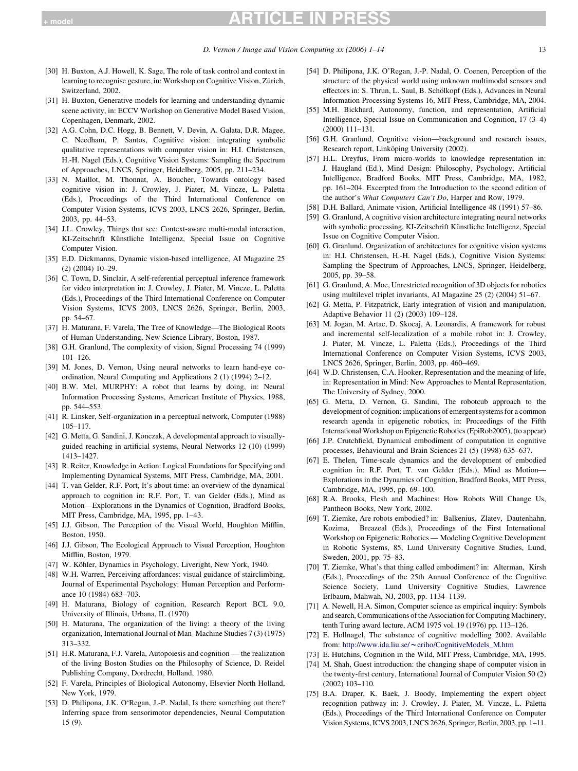# TICLE IN PR

- <span id="page-12-0"></span>[30] H. Buxton, A.J. Howell, K. Sage, The role of task control and context in learning to recognise gesture, in: Workshop on Cognitive Vision, Zürich, Switzerland, 2002.
- [31] H. Buxton, Generative models for learning and understanding dynamic scene activity, in: ECCV Workshop on Generative Model Based Vision, Copenhagen, Denmark, 2002.
- [32] A.G. Cohn, D.C. Hogg, B. Bennett, V. Devin, A. Galata, D.R. Magee, C. Needham, P. Santos, Cognitive vision: integrating symbolic qualitative representations with computer vision in: H.I. Christensen, H.-H. Nagel (Eds.), Cognitive Vision Systems: Sampling the Spectrum of Approaches, LNCS, Springer, Heidelberg, 2005, pp. 211–234.
- [33] N. Maillot, M. Thonnat, A. Boucher, Towards ontology based cognitive vision in: J. Crowley, J. Piater, M. Vincze, L. Paletta (Eds.), Proceedings of the Third International Conference on Computer Vision Systems, ICVS 2003, LNCS 2626, Springer, Berlin, 2003, pp. 44–53.
- [34] J.L. Crowley, Things that see: Context-aware multi-modal interaction, KI-Zeitschrift Künstliche Intelligenz, Special Issue on Cognitive Computer Vision.
- [35] E.D. Dickmanns, Dynamic vision-based intelligence, AI Magazine 25 (2) (2004) 10–29.
- [36] C. Town, D. Sinclair, A self-referential perceptual inference framework for video interpretation in: J. Crowley, J. Piater, M. Vincze, L. Paletta (Eds.), Proceedings of the Third International Conference on Computer Vision Systems, ICVS 2003, LNCS 2626, Springer, Berlin, 2003, pp. 54–67.
- [37] H. Maturana, F. Varela, The Tree of Knowledge—The Biological Roots of Human Understanding, New Science Library, Boston, 1987.
- [38] G.H. Granlund, The complexity of vision, Signal Processing 74 (1999) 101–126.
- [39] M. Jones, D. Vernon, Using neural networks to learn hand-eye coordination, Neural Computing and Applications 2 (1) (1994) 2–12.
- [40] B.W. Mel, MURPHY: A robot that learns by doing, in: Neural Information Processing Systems, American Institute of Physics, 1988, pp. 544–553.
- [41] R. Linsker, Self-organization in a perceptual network, Computer (1988) 105–117.
- [42] G. Metta, G. Sandini, J. Konczak, A developmental approach to visuallyguided reaching in artificial systems, Neural Networks 12 (10) (1999) 1413–1427.
- [43] R. Reiter, Knowledge in Action: Logical Foundations for Specifying and Implementing Dynamical Systems, MIT Press, Cambridge, MA, 2001.
- [44] T. van Gelder, R.F. Port, It's about time: an overview of the dynamical approach to cognition in: R.F. Port, T. van Gelder (Eds.), Mind as Motion—Explorations in the Dynamics of Cognition, Bradford Books, MIT Press, Cambridge, MA, 1995, pp. 1–43.
- [45] J.J. Gibson, The Perception of the Visual World, Houghton Mifflin, Boston, 1950.
- [46] J.J. Gibson, The Ecological Approach to Visual Perception, Houghton Mifflin, Boston, 1979.
- [47] W. Köhler, Dynamics in Psychology, Liveright, New York, 1940.
- [48] W.H. Warren, Perceiving affordances: visual guidance of stairclimbing, Journal of Experimental Psychology: Human Perception and Performance 10 (1984) 683–703.
- [49] H. Maturana, Biology of cognition, Research Report BCL 9.0, University of Illinois, Urbana, IL (1970)
- [50] H. Maturana, The organization of the living: a theory of the living organization, International Journal of Man–Machine Studies 7 (3) (1975) 313–332.
- [51] H.R. Maturana, F.J. Varela, Autopoiesis and cognition the realization of the living Boston Studies on the Philosophy of Science, D. Reidel Publishing Company, Dordrecht, Holland, 1980.
- [52] F. Varela, Principles of Biological Autonomy, Elsevier North Holland, New York, 1979.
- [53] D. Philipona, J.K. O'Regan, J.-P. Nadal, Is there something out there? Inferring space from sensorimotor dependencies, Neural Computation 15 (9).
- [54] D. Philipona, J.K. O'Regan, J.-P. Nadal, O. Coenen, Perception of the structure of the physical world using unknown multimodal sensors and effectors in: S. Thrun, L. Saul, B. Schölkopf (Eds.), Advances in Neural Information Processing Systems 16, MIT Press, Cambridge, MA, 2004.
- [55] M.H. Bickhard, Autonomy, function, and representation, Artificial Intelligence, Special Issue on Communication and Cognition, 17 (3–4) (2000) 111–131.
- [56] G.H. Granlund, Cognitive vision—background and research issues, Research report, Linköping University (2002).
- [57] H.L. Dreyfus, From micro-worlds to knowledge representation in: J. Haugland (Ed.), Mind Design: Philosophy, Psychology, Artificial Intelligence, Bradford Books, MIT Press, Cambridge, MA, 1982, pp. 161–204. Excerpted from the Introduction to the second edition of the author's What Computers Can't Do, Harper and Row, 1979.
- [58] D.H. Ballard, Animate vision, Artificial Intelligence 48 (1991) 57–86.
- [59] G. Granlund, A cognitive vision architecture integrating neural networks with symbolic processing, KI-Zeitschrift Künstliche Intelligenz, Special Issue on Cognitive Computer Vision.
- [60] G. Granlund, Organization of architectures for cognitive vision systems in: H.I. Christensen, H.-H. Nagel (Eds.), Cognitive Vision Systems: Sampling the Spectrum of Approaches, LNCS, Springer, Heidelberg, 2005, pp. 39–58.
- [61] G. Granlund, A. Moe, Unrestricted recognition of 3D objects for robotics using multilevel triplet invariants, AI Magazine 25 (2) (2004) 51–67.
- [62] G. Metta, P. Fitzpatrick, Early integration of vision and manipulation, Adaptive Behavior 11 (2) (2003) 109–128.
- [63] M. Jogan, M. Artac, D. Skocaj, A. Leonardis, A framework for robust and incremental self-localization of a mobile robot in: J. Crowley, J. Piater, M. Vincze, L. Paletta (Eds.), Proceedings of the Third International Conference on Computer Vision Systems, ICVS 2003, LNCS 2626, Springer, Berlin, 2003, pp. 460–469.
- [64] W.D. Christensen, C.A. Hooker, Representation and the meaning of life, in: Representation in Mind: New Approaches to Mental Representation, The University of Sydney, 2000.
- [65] G. Metta, D. Vernon, G. Sandini, The robotcub approach to the development of cognition: implications of emergent systems for a common research agenda in epigenetic robotics, in: Proceedings of the Fifth International Workshop on Epigenetic Robotics (EpiRob2005), (to appear)
- [66] J.P. Crutchfield, Dynamical embodiment of computation in cognitive processes, Behavioural and Brain Sciences 21 (5) (1998) 635–637.
- [67] E. Thelen, Time-scale dynamics and the development of embodied cognition in: R.F. Port, T. van Gelder (Eds.), Mind as Motion— Explorations in the Dynamics of Cognition, Bradford Books, MIT Press, Cambridge, MA, 1995, pp. 69–100.
- [68] R.A. Brooks, Flesh and Machines: How Robots Will Change Us, Pantheon Books, New York, 2002.
- [69] T. Ziemke, Are robots embodied? in: Balkenius, Zlatev, Dautenhahn, Kozima, Breazeal (Eds.), Proceedings of the First International Workshop on Epigenetic Robotics — Modeling Cognitive Development in Robotic Systems, 85, Lund University Cognitive Studies, Lund, Sweden, 2001, pp. 75–83.
- [70] T. Ziemke, What's that thing called embodiment? in: Alterman, Kirsh (Eds.), Proceedings of the 25th Annual Conference of the Cognitive Science Society, Lund University Cognitive Studies, Lawrence Erlbaum, Mahwah, NJ, 2003, pp. 1134–1139.
- [71] A. Newell, H.A. Simon, Computer science as empirical inquiry: Symbols and search, Communications of the Association for Computing Machinery, tenth Turing award lecture, ACM 1975 vol. 19 (1976) pp. 113–126.
- [72] E. Hollnagel, The substance of cognitive modelling 2002. Available from: http://www.ida.liu.se/~[eriho/CognitiveModels\\_M.htm](http://http://www.ida.liu.se/~eriho/CognitiveModels_M.htm)
- [73] E. Hutchins, Cognition in the Wild, MIT Press, Cambridge, MA, 1995.
- [74] M. Shah, Guest introduction: the changing shape of computer vision in the twenty-first century, International Journal of Computer Vision 50 (2) (2002) 103–110.
- [75] B.A. Draper, K. Baek, J. Boody, Implementing the expert object recognition pathway in: J. Crowley, J. Piater, M. Vincze, L. Paletta (Eds.), Proceedings of the Third International Conference on Computer Vision Systems, ICVS 2003, LNCS 2626, Springer, Berlin, 2003, pp. 1–11.